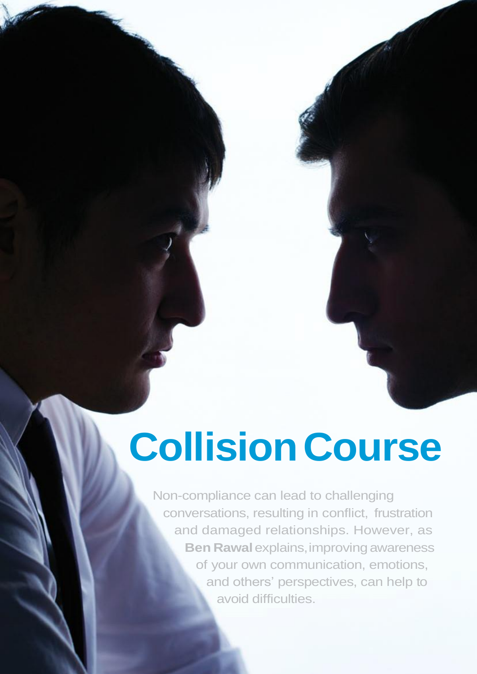# **CollisionCourse**

Non-compliance can lead to challenging conversations, resulting in conflict, frustration and damaged relationships. However, as **Ben Rawal** explains, improving awareness of your own communication, emotions, and others' perspectives, can help to avoid difficulties.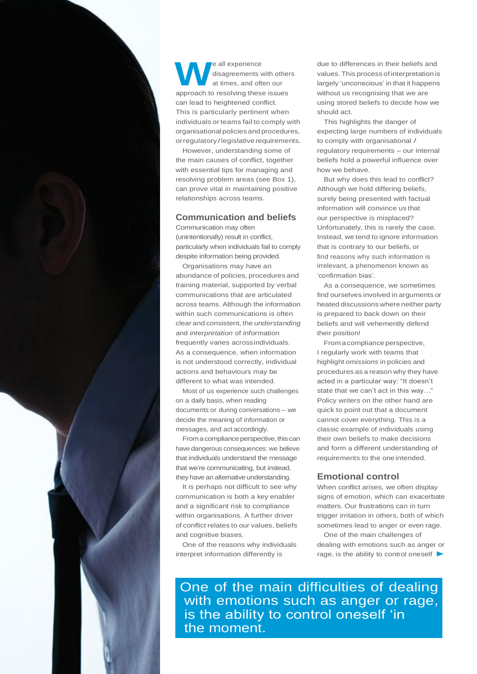

**W e** all experience<br>
at times, and often our<br>
approach to resolving these issues e all experience disagreements with others at times, and often our can lead to heightened conflict. This is particularly pertinent when individuals orteams fail to comply with organisational policiesand procedures, orregulatory/legislative requirements.

However, understanding some of the main causes of conflict, together with essential tips for managing and resolving problem areas (see Box 1), can prove vital in maintaining positive relationships across teams.

# **Communication and beliefs**

Communication may often (unintentionally) result in conflict, particularly when individuals fail to comply despite information being provided.

Organisations may have an abundance of policies, procedures and training material, supported by verbal communications that are articulated across teams. Although the information within such communications is often clear and consistent, the *understanding*  and *interpretation* of information frequently varies acrossindividuals. As a consequence, when information is not understood correctly, individual actions and behaviours may be different to what was intended.

Most of us experience such challenges on a daily basis, when reading documents or during conversations – we decide the meaning of information or messages, and act accordingly.

From a compliance perspective, this can have dangerous consequences: we believe that individuals understand the message that we're communicating, but instead, they have an alternative understanding.

It is perhaps not difficult to see why communication is both a key enabler and a significant risk to compliance within organisations. A further driver of conflict relates to our values, beliefs and cognitive biases.

One of the reasons why individuals interpret information differently is

due to differences in their beliefs and values. This process of interpretation is largely 'unconscious' in that it happens without us recognising that we are using stored beliefs to decide how we should act.

This highlights the danger of expecting large numbers of individuals to comply with organisational / regulatory requirements – our internal beliefs hold a powerful influence over how we behave.

But why does this lead to conflict? Although we hold differing beliefs, surely being presented with factual information will convince us that our perspective is misplaced? Unfortunately, this is rarely the case. Instead, we tend to ignore information that is contrary to our beliefs, or find reasons why such information is irrelevant, a phenomenon known as 'confirmation bias'.

As a consequence, we sometimes find ourselves involved in arguments or heated discussions where neither party is prepared to back down on their beliefs and will vehemently defend their position!

Fromacompliance perspective, I regularly work with teams that highlight *omissions* in policies and procedures as a reason why they have acted in a particular way: "It doesn't state that we can't act in this way…" Policy writers on the other hand are quick to point out that a document cannot cover everything. This is a classic example of individuals using their own beliefs to make decisions and form a different understanding of requirements to the one intended.

# **Emotional control**

When conflict arises, we often display signs of emotion, which can exacerbate matters. Our frustrations can in turn trigger irritation in others, both of which sometimes lead to anger or even rage.

One of the main challenges of dealing with emotions such as anger or rage, is the ability to control oneself  $\blacktriangleright$ 

One of the main difficulties of dealing with emotions such as anger or rage, is the ability to control oneself 'in the moment.